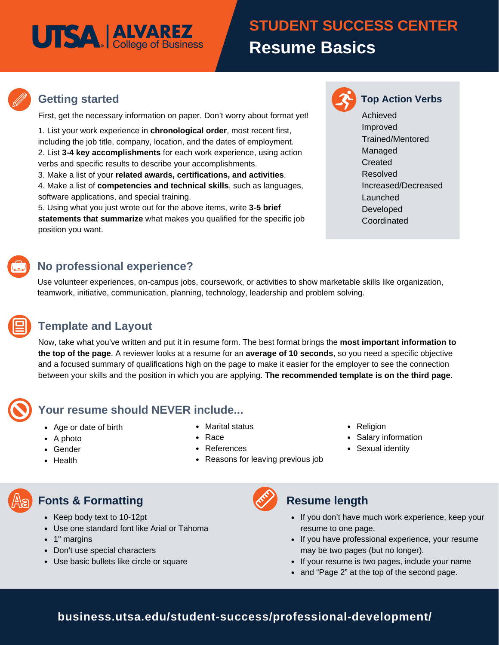# **UTSA** | ALVAREZ

# **Summary Basics STUDENT SUCCESS CENTER Resume Basics**



#### **Getting started Top Action Verbs**

First, get the necessary information on paper. Don't worry about format yet!

1. List your work experience in **chronological order**, most recent first, including the job title, company, location, and the dates of employment. 2. List **3-4 key accomplishments** for each work experience, using action verbs and specific results to describe your accomplishments.

3. Make a list of your **related awards, certifications, and activities**.

4. Make a list of **competencies and technical skills**, such as languages, software applications, and special training.

5. Using what you just wrote out for the above items, write **3-5 brief statements that summarize** what makes you qualified for the specific job position you want.

#### **No professional experience?**

Use volunteer experiences, on-campus jobs, coursework, or activities to show marketable skills like organization, teamwork, initiative, communication, planning, technology, leadership and problem solving.

#### **Template and Layout**

Now, take what you've written and put it in resume form. The best format brings the **most important information to the top of the page**. A reviewer looks at a resume for an **average of 10 seconds**, so you need a specific objective and a focused summary of qualifications high on the page to make it easier for the employer to see the connection between your skills and the position in which you are applying. **The recommended template is on the third page**.

- Age or date of birth
- $\bullet$  A photo Gender

Health

- Marital status
- 

**Your resume should NEVER include...**

- Race
- References
- Reasons for leaving previous job

#### • Religion

- Salary information
- Sexual identity
- 

## **Fonts & Formatting**

- Keep body text to 10-12pt
- Use one standard font like Arial or Tahoma
- 1" margins
- Don't use special characters
- Use basic bullets like circle or square



### **Resume length**

- If you don't have much work experience, keep your resume to one page.
- If you have professional experience, your resume may be two pages (but no longer).
- If your resume is two pages, include your name
- and "Page 2" at the top of the second page.

### **business.utsa.edu/student-success/professional-development/**



Achieved Improved Trained/Mentored Managed Created Resolved Increased/Decreased Launched Developed Coordinated